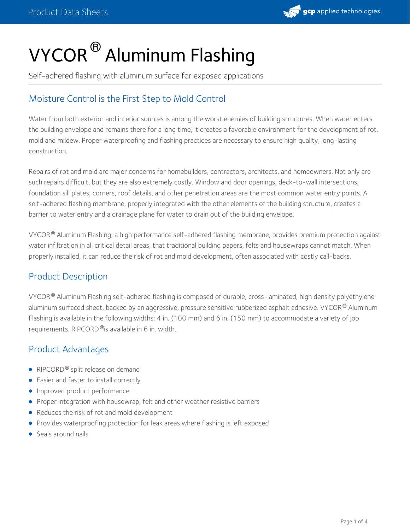

# VYCOR  $^\circledR$  Aluminum Flashing

Self-adhered flashing with aluminum surface for exposed applications

# Moisture Control is the First Step to Mold Control

Water from both exterior and interior sources is among the worst enemies of building structures. When water enters the building envelope and remains there for a long time, it creates a favorable environment for the development of rot, mold and mildew. Proper waterproofing and flashing practices are necessary to ensure high quality, long-lasting construction.

Repairs of rot and mold are major concerns for homebuilders, contractors, architects, and homeowners. Not only are such repairs difficult, but they are also extremely costly. Window and door openings, deck-to-wall intersections, foundation sill plates, corners, roof details, and other penetration areas are the most common water entry points. A self-adhered flashing membrane, properly integrated with the other elements of the building structure, creates a barrier to water entry and a drainage plane for water to drain out of the building envelope.

VYCOR® Aluminum Flashing, a high performance self-adhered flashing membrane, provides premium protection against water infiltration in all critical detail areas, that traditional building papers, felts and housewraps cannot match. When properly installed, it can reduce the risk of rot and mold development, often associated with costly call-backs.

## Product Description

VYCOR® Aluminum Flashing self-adhered flashing is composed of durable, cross-laminated, high density polyethylene aluminum surfaced sheet, backed by an aggressive, pressure sensitive rubberized asphalt adhesive. VYCOR® Aluminum Flashing is available in the following widths: 4 in. (100 mm) and 6 in. (150 mm) to accommodate a variety of job requirements. RIPCORD ®is available in 6 in. width.

## Product Advantages

- RIPCORD® split release on demand
- Easier and faster to install correctly
- **Improved product performance**
- **•** Proper integration with housewrap, felt and other weather resistive barriers
- Reduces the risk of rot and mold development
- **•** Provides waterproofing protection for leak areas where flashing is left exposed
- Seals around nails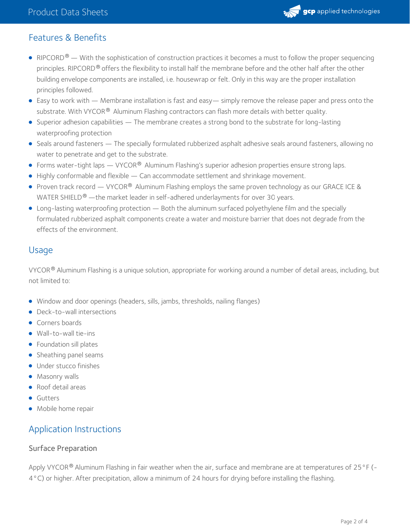

## Features & Benefits

- RIPCORD $^\circledR$  With the sophistication of construction practices it becomes a must to follow the proper sequencing principles. RIPCORD® offers the flexibility to install half the membrane before and the other half after the other building envelope components are installed, i.e. housewrap or felt. Only in this way are the proper installation principles followed.
- Easy to work with Membrane installation is fast and easy— simply remove the release paper and press onto the substrate. With VYCOR<sup>®</sup> Aluminum Flashing contractors can flash more details with better quality.
- Superior adhesion capabilities The membrane creates a strong bond to the substrate for long-lasting waterproofing protection
- Seals around fasteners The specially formulated rubberized asphalt adhesive seals around fasteners, allowing no water to penetrate and get to the substrate.
- Forms water-tight laps VYCOR<sup>®</sup> Aluminum Flashing's superior adhesion properties ensure strong laps.
- Highly conformable and flexible Can accommodate settlement and shrinkage movement.
- Proven track record VYCOR® Aluminum Flashing employs the same proven technology as our GRACE ICE & WATER SHIELD $^\circledR$  —the market leader in self-adhered underlayments for over 30 years.
- Long-lasting waterproofing protection Both the aluminum surfaced polyethylene film and the specially formulated rubberized asphalt components create a water and moisture barrier that does not degrade from the effects of the environment.

## Usage

VYCOR® Aluminum Flashing is a unique solution, appropriate for working around a number of detail areas, including, but not limited to:

- Window and door openings (headers, sills, jambs, thresholds, nailing flanges)
- Deck-to-wall intersections
- Corners boards
- Wall-to-wall tie-ins
- Foundation sill plates
- Sheathing panel seams
- **·** Under stucco finishes
- Masonry walls
- Roof detail areas
- **Gutters**
- Mobile home repair

## Application Instructions

#### Surface Preparation

Apply VYCOR $^\circledR$  Aluminum Flashing in fair weather when the air, surface and membrane are at temperatures of 25 °F (-4°C) or higher. After precipitation, allow a minimum of 24 hours for drying before installing the flashing.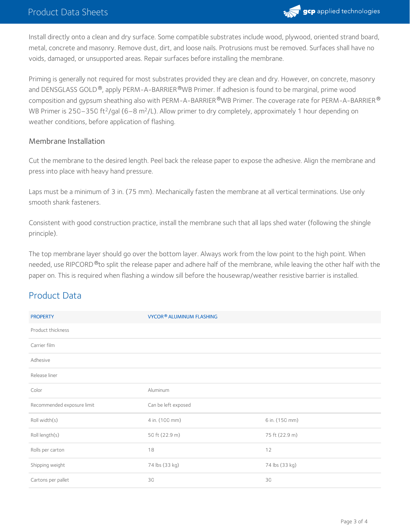

Install directly onto a clean and dry surface. Some compatible substrates include wood, plywood, oriented strand board, metal, concrete and masonry. Remove dust, dirt, and loose nails. Protrusions must be removed. Surfaces shall have no voids, damaged, or unsupported areas. Repair surfaces before installing the membrane.

Priming is generally not required for most substrates provided they are clean and dry. However, on concrete, masonry and DENSGLASS GOLD  $^\circledR$ , apply PERM–A–BARRIER  $^\circledR$ WB Primer. If adhesion is found to be marginal, prime wood composition and gypsum sheathing also with PERM-A-BARRIER®WB Primer. The coverage rate for PERM-A-BARRIER® WB Primer is 250–350 ft<sup>2</sup>/gal (6–8 m<sup>2</sup>/L). Allow primer to dry completely, approximately 1 hour depending on weather conditions, before application of flashing.

#### Membrane Installation

Cut the membrane to the desired length. Peel back the release paper to expose the adhesive. Align the membrane and press into place with heavy hand pressure.

Laps must be a minimum of 3 in. (75 mm). Mechanically fasten the membrane at all vertical terminations. Use only smooth shank fasteners.

Consistent with good construction practice, install the membrane such that all laps shed water (following the shingle principle).

The top membrane layer should go over the bottom layer. Always work from the low point to the high point. When needed, use RIPCORD®to split the release paper and adhere half of the membrane, while leaving the other half with the paper on. This is required when flashing a window sill before the housewrap/weather resistive barrier is installed.

## Product Data

| <b>PROPERTY</b>            | VYCOR® ALUMINUM FLASHING |                |
|----------------------------|--------------------------|----------------|
| Product thickness          |                          |                |
| Carrier film               |                          |                |
| Adhesive                   |                          |                |
| Release liner              |                          |                |
| Color                      | Aluminum                 |                |
| Recommended exposure limit | Can be left exposed      |                |
| Roll width(s)              | 4 in. (100 mm)           | 6 in. (150 mm) |
| Roll length(s)             | 50 ft (22.9 m)           | 75 ft (22.9 m) |
| Rolls per carton           | 18                       | 12             |
| Shipping weight            | 74 lbs (33 kg)           | 74 lbs (33 kg) |
| Cartons per pallet         | 30                       | 30             |